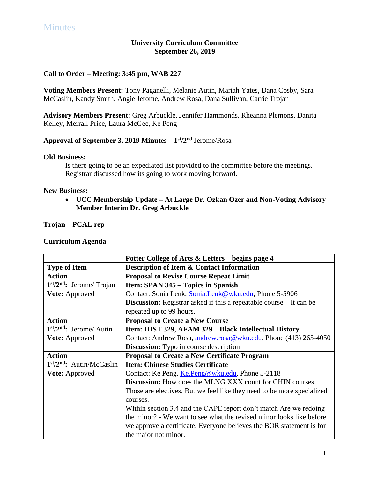# **University Curriculum Committee September 26, 2019**

## **Call to Order – Meeting: 3:45 pm, WAB 227**

**Voting Members Present:** Tony Paganelli, Melanie Autin, Mariah Yates, Dana Cosby, Sara McCaslin, Kandy Smith, Angie Jerome, Andrew Rosa, Dana Sullivan, Carrie Trojan

**Advisory Members Present:** Greg Arbuckle, Jennifer Hammonds, Rheanna Plemons, Danita Kelley, Merrall Price, Laura McGee, Ke Peng

## **Approval of September 3, 2019 Minutes – 1 st/2 nd** Jerome/Rosa

#### **Old Business:**

Is there going to be an expediated list provided to the committee before the meetings. Registrar discussed how its going to work moving forward.

## **New Business:**

 **UCC Membership Update – At Large Dr. Ozkan Ozer and Non-Voting Advisory Member Interim Dr. Greg Arbuckle**

**Trojan – PCAL rep**

|                            | Potter College of Arts & Letters – begins page 4                           |
|----------------------------|----------------------------------------------------------------------------|
| <b>Type of Item</b>        | <b>Description of Item &amp; Contact Information</b>                       |
| <b>Action</b>              | <b>Proposal to Revise Course Repeat Limit</b>                              |
| $1st/2nd$ : Jerome/ Trojan | Item: SPAN 345 – Topics in Spanish                                         |
| <b>Vote: Approved</b>      | Contact: Sonia Lenk, Sonia.Lenk@wku.edu, Phone 5-5906                      |
|                            | <b>Discussion:</b> Registrar asked if this a repeatable course – It can be |
|                            | repeated up to 99 hours.                                                   |
| <b>Action</b>              | <b>Proposal to Create a New Course</b>                                     |
| $1st/2nd$ : Jerome/ Autin  | Item: HIST 329, AFAM 329 - Black Intellectual History                      |
| <b>Vote:</b> Approved      | Contact: Andrew Rosa, andrew.rosa@wku.edu, Phone (413) 265-4050            |
|                            | <b>Discussion:</b> Typo in course description                              |
| <b>Action</b>              | <b>Proposal to Create a New Certificate Program</b>                        |
| $1st/2nd$ : Autin/McCaslin | <b>Item: Chinese Studies Certificate</b>                                   |
| <b>Vote:</b> Approved      | Contact: Ke Peng, Ke.Peng@wku.edu, Phone 5-2118                            |
|                            | <b>Discussion:</b> How does the MLNG XXX count for CHIN courses.           |
|                            | Those are electives. But we feel like they need to be more specialized     |
|                            | courses.                                                                   |
|                            | Within section 3.4 and the CAPE report don't match Are we redoing          |
|                            | the minor? - We want to see what the revised minor looks like before       |
|                            | we approve a certificate. Everyone believes the BOR statement is for       |
|                            | the major not minor.                                                       |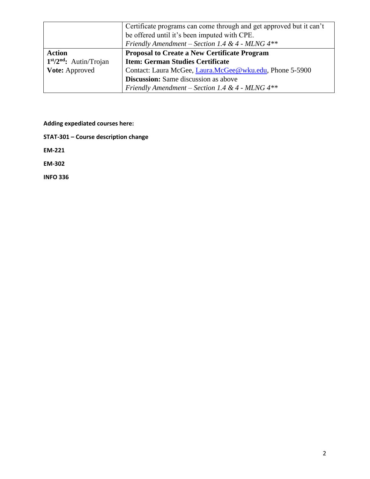|                          | Certificate programs can come through and get approved but it can't<br>be offered until it's been imputed with CPE. |
|--------------------------|---------------------------------------------------------------------------------------------------------------------|
|                          | Friendly Amendment – Section 1.4 & 4 - MLNG $4**$                                                                   |
| <b>Action</b>            | <b>Proposal to Create a New Certificate Program</b>                                                                 |
| $1st/2nd$ : Autin/Trojan | <b>Item: German Studies Certificate</b>                                                                             |
| <b>Vote:</b> Approved    | Contact: Laura McGee, Laura.McGee@wku.edu, Phone 5-5900                                                             |
|                          | <b>Discussion:</b> Same discussion as above                                                                         |
|                          | Friendly Amendment – Section 1.4 & 4 - MLNG $4**$                                                                   |

**Adding expediated courses here:**

**STAT-301 – Course description change**

**EM-221** 

**EM-302**

**INFO 336**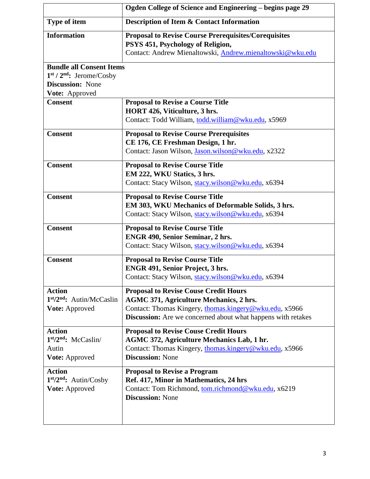|                                                                                          | Ogden College of Science and Engineering - begins page 29                                                                                                                                                                       |
|------------------------------------------------------------------------------------------|---------------------------------------------------------------------------------------------------------------------------------------------------------------------------------------------------------------------------------|
| Type of item                                                                             | Description of Item & Contact Information                                                                                                                                                                                       |
| <b>Information</b>                                                                       | <b>Proposal to Revise Course Prerequisites/Corequisites</b><br>PSYS 451, Psychology of Religion,<br>Contact: Andrew Mienaltowski, Andrew.mienaltowski@wku.edu                                                                   |
| <b>Bundle all Consent Items</b><br>$1st / 2nd$ : Jerome/Cosby<br><b>Discussion:</b> None |                                                                                                                                                                                                                                 |
| Vote: Approved                                                                           |                                                                                                                                                                                                                                 |
| <b>Consent</b>                                                                           | <b>Proposal to Revise a Course Title</b><br>HORT 426, Viticulture, 3 hrs.<br>Contact: Todd William, todd.william@wku.edu, x5969                                                                                                 |
| <b>Consent</b>                                                                           | <b>Proposal to Revise Course Prerequisites</b><br>CE 176, CE Freshman Design, 1 hr.<br>Contact: Jason Wilson, Jason.wilson@wku.edu, x2322                                                                                       |
| <b>Consent</b>                                                                           | <b>Proposal to Revise Course Title</b><br>EM 222, WKU Statics, 3 hrs.<br>Contact: Stacy Wilson, stacy.wilson@wku.edu, x6394                                                                                                     |
| <b>Consent</b>                                                                           | <b>Proposal to Revise Course Title</b><br>EM 303, WKU Mechanics of Deformable Solids, 3 hrs.<br>Contact: Stacy Wilson, stacy.wilson@wku.edu, x6394                                                                              |
| <b>Consent</b>                                                                           | <b>Proposal to Revise Course Title</b><br><b>ENGR 490, Senior Seminar, 2 hrs.</b><br>Contact: Stacy Wilson, stacy.wilson@wku.edu, x6394                                                                                         |
| <b>Consent</b>                                                                           | <b>Proposal to Revise Course Title</b><br><b>ENGR 491, Senior Project, 3 hrs.</b><br>Contact: Stacy Wilson, stacy.wilson@wku.edu, x6394                                                                                         |
| <b>Action</b><br>1st/2nd: Autin/McCaslin<br>Vote: Approved                               | <b>Proposal to Revise Couse Credit Hours</b><br><b>AGMC 371, Agriculture Mechanics, 2 hrs.</b><br>Contact: Thomas Kingery, thomas.kingery@wku.edu, x5966<br><b>Discussion:</b> Are we concerned about what happens with retakes |
| <b>Action</b><br>1st/2nd: McCaslin/<br>Autin<br>Vote: Approved                           | <b>Proposal to Revise Couse Credit Hours</b><br><b>AGMC 372, Agriculture Mechanics Lab, 1 hr.</b><br>Contact: Thomas Kingery, thomas.kingery@wku.edu, x5966<br><b>Discussion: None</b>                                          |
| <b>Action</b><br>$1st/2nd$ : Autin/Cosby<br>Vote: Approved                               | <b>Proposal to Revise a Program</b><br>Ref. 417, Minor in Mathematics, 24 hrs<br>Contact: Tom Richmond, tom.richmond@wku.edu, x6219<br><b>Discussion: None</b>                                                                  |